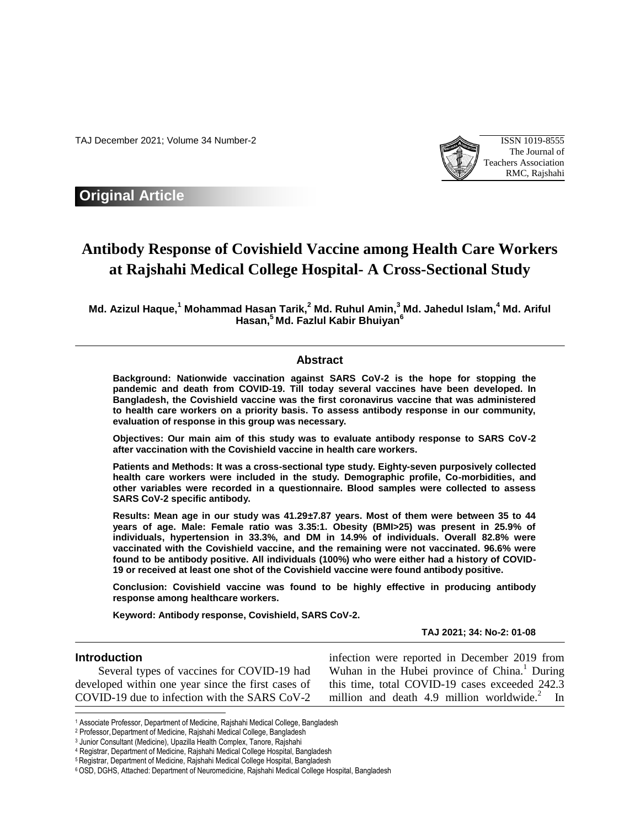TAJ December 2021; Volume 34 Number-2 ISSN 1019-8555



**Original Article**

# **Antibody Response of Covishield Vaccine among Health Care Workers at Rajshahi Medical College Hospital- A Cross-Sectional Study**

**Md. Azizul Haque, <sup>1</sup> Mohammad Hasan Tarik, <sup>2</sup> Md. Ruhul Amin, <sup>3</sup> Md. Jahedul Islam, <sup>4</sup> Md. Ariful Hasan, <sup>5</sup> Md. Fazlul Kabir Bhuiyan<sup>6</sup>**

## **Abstract**

**Background: Nationwide vaccination against SARS CoV-2 is the hope for stopping the pandemic and death from COVID-19. Till today several vaccines have been developed. In Bangladesh, the Covishield vaccine was the first coronavirus vaccine that was administered to health care workers on a priority basis. To assess antibody response in our community, evaluation of response in this group was necessary.**

**Objectives: Our main aim of this study was to evaluate antibody response to SARS CoV-2 after vaccination with the Covishield vaccine in health care workers.**

**Patients and Methods: It was a cross-sectional type study. Eighty-seven purposively collected health care workers were included in the study. Demographic profile, Co-morbidities, and other variables were recorded in a questionnaire. Blood samples were collected to assess SARS CoV-2 specific antibody.**

**Results: Mean age in our study was 41.29±7.87 years. Most of them were between 35 to 44 years of age. Male: Female ratio was 3.35:1. Obesity (BMI>25) was present in 25.9% of individuals, hypertension in 33.3%, and DM in 14.9% of individuals. Overall 82.8% were vaccinated with the Covishield vaccine, and the remaining were not vaccinated. 96.6% were found to be antibody positive. All individuals (100%) who were either had a history of COVID-19 or received at least one shot of the Covishield vaccine were found antibody positive.**

**Conclusion: Covishield vaccine was found to be highly effective in producing antibody response among healthcare workers.**

**Keyword: Antibody response, Covishield, SARS CoV-2.**

**TAJ 2021; 34: No-2: 01-08**

### **Introduction**

l

 Several types of vaccines for COVID-19 had developed within one year since the first cases of COVID-19 due to infection with the SARS CoV-2

infection were reported in December 2019 from Wuhan in the Hubei province of China.<sup>1</sup> During this time, total COVID-19 cases exceeded 242.3 million and death  $4.9$  million worldwide.<sup>2</sup> In

<sup>1</sup> Associate Professor, Department of Medicine, Rajshahi Medical College, Bangladesh

<sup>&</sup>lt;sup>2</sup> Professor, Department of Medicine, Rajshahi Medical College, Bangladesh

<sup>3</sup> Junior Consultant (Medicine), Upazilla Health Complex, Tanore, Rajshahi

<sup>4</sup> Registrar, Department of Medicine, Rajshahi Medical College Hospital, Bangladesh

<sup>&</sup>lt;sup>5</sup> Registrar, Department of Medicine, Rajshahi Medical College Hospital, Bangladesh

<sup>6</sup> OSD, DGHS, Attached: Department of Neuromedicine, Rajshahi Medical College Hospital, Bangladesh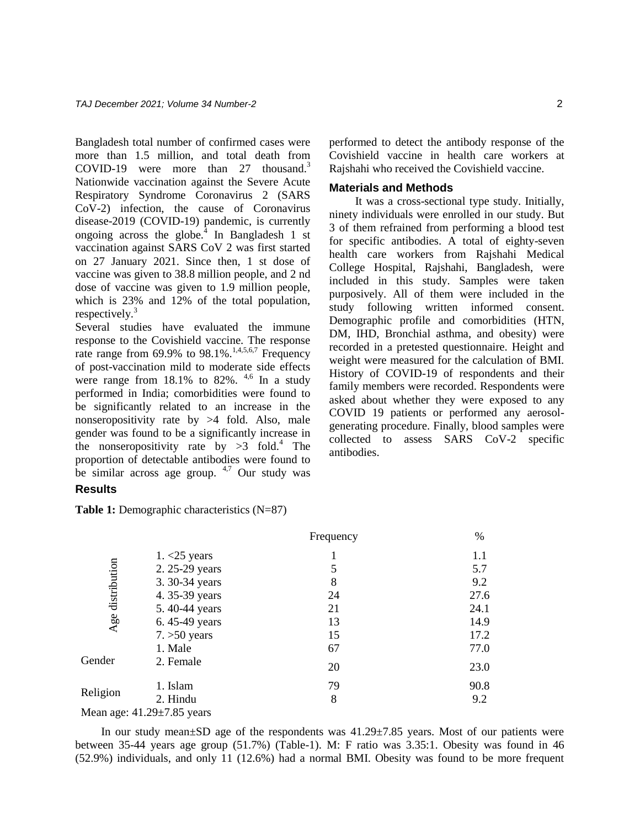Bangladesh total number of confirmed cases were more than 1.5 million, and total death from COVID-19 were more than 27 thousand.<sup>3</sup> Nationwide vaccination against the Severe Acute Respiratory Syndrome Coronavirus 2 (SARS CoV-2) infection, the cause of Coronavirus disease-2019 (COVID-19) pandemic, is currently ongoing across the globe. $^{4}$  In Bangladesh 1 st vaccination against SARS CoV 2 was first started on 27 January 2021. Since then, 1 st dose of vaccine was given to 38.8 million people, and 2 nd dose of vaccine was given to 1.9 million people, which is 23% and 12% of the total population, respectively.<sup>3</sup>

Several studies have evaluated the immune response to the Covishield vaccine. The response rate range from 69.9% to 98.1%.<sup>1,4,5,6,7</sup> Frequency of post-vaccination mild to moderate side effects were range from  $18.1\%$  to  $82\%$ .  $4.6$  In a study performed in India; comorbidities were found to be significantly related to an increase in the nonseropositivity rate by >4 fold. Also, male gender was found to be a significantly increase in the nonseropositivity rate by  $>3$  fold.<sup>4</sup> The proportion of detectable antibodies were found to be similar across age group.  $4.7$  Our study was

**Results**

**Table 1:** Demographic characteristics (N=87)

performed to detect the antibody response of the Covishield vaccine in health care workers at Rajshahi who received the Covishield vaccine.

#### **Materials and Methods**

 It was a cross-sectional type study. Initially, ninety individuals were enrolled in our study. But 3 of them refrained from performing a blood test for specific antibodies. A total of eighty-seven health care workers from Rajshahi Medical College Hospital, Rajshahi, Bangladesh, were included in this study. Samples were taken purposively. All of them were included in the study following written informed consent. Demographic profile and comorbidities (HTN, DM, IHD, Bronchial asthma, and obesity) were recorded in a pretested questionnaire. Height and weight were measured for the calculation of BMI. History of COVID-19 of respondents and their family members were recorded. Respondents were asked about whether they were exposed to any COVID 19 patients or performed any aerosolgenerating procedure. Finally, blood samples were collected to assess SARS CoV-2 specific antibodies.

|                  |                                  | Frequency | $\%$ |
|------------------|----------------------------------|-----------|------|
| Age distribution | $1. < 25$ years                  |           | 1.1  |
|                  | 2. 25-29 years                   | 5         | 5.7  |
|                  | 3.30-34 years                    | 8         | 9.2  |
|                  | 4.35-39 years                    | 24        | 27.6 |
|                  | 5.40-44 years                    | 21        | 24.1 |
|                  | 6.45-49 years                    | 13        | 14.9 |
|                  | $7. > 50$ years                  | 15        | 17.2 |
|                  | 1. Male                          | 67        | 77.0 |
| Gender           | 2. Female                        | 20        | 23.0 |
|                  | 1. Islam                         | 79        | 90.8 |
| Religion         | 2. Hindu                         | 8         | 9.2  |
|                  | Mean age: $41.29 \pm 7.85$ years |           |      |

 In our study mean±SD age of the respondents was 41.29±7.85 years. Most of our patients were between 35-44 years age group (51.7%) (Table-1). M: F ratio was 3.35:1. Obesity was found in 46 (52.9%) individuals, and only 11 (12.6%) had a normal BMI. Obesity was found to be more frequent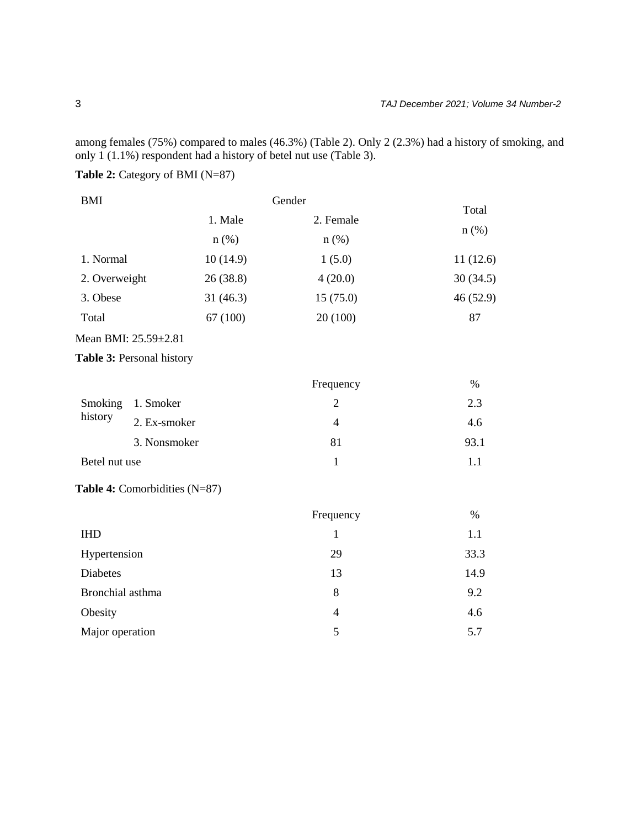among females (75%) compared to males (46.3%) (Table 2). Only 2 (2.3%) had a history of smoking, and only 1 (1.1%) respondent had a history of betel nut use (Table 3).

# **Table 2:** Category of BMI (N=87)

| <b>BMI</b>    |          | Gender    |          |
|---------------|----------|-----------|----------|
|               | 1. Male  | 2. Female | Total    |
|               | $n$ (%)  | $n$ (%)   | $n$ (%)  |
| 1. Normal     | 10(14.9) | 1(5.0)    | 11(12.6) |
| 2. Overweight | 26(38.8) | 4(20.0)   | 30(34.5) |
| 3. Obese      | 31(46.3) | 15(75.0)  | 46(52.9) |
| Total         | 67 (100) | 20(100)   | 87       |
|               |          |           |          |

# Mean BMI: 25.59±2.81

## **Table 3:** Personal history

|               |                   | Frequency | $\%$ |
|---------------|-------------------|-----------|------|
| history       | Smoking 1. Smoker |           | 2.3  |
|               | 2. Ex-smoker      | 4         | 4.6  |
|               | 3. Nonsmoker      | 81        | 93.1 |
| Betel nut use |                   |           |      |

## **Table 4:** Comorbidities (N=87)

|                  | Frequency | %    |
|------------------|-----------|------|
| <b>IHD</b>       |           | 1.1  |
| Hypertension     | 29        | 33.3 |
| Diabetes         | 13        | 14.9 |
| Bronchial asthma | 8         | 9.2  |
| Obesity          | 4         | 4.6  |
| Major operation  | 5         | 5.7  |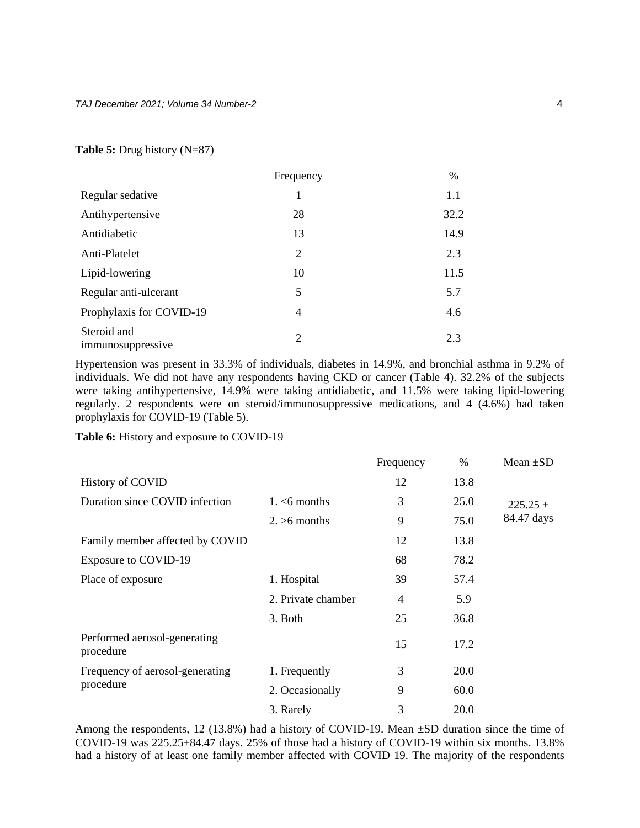## **Table 5:** Drug history (N=87)

|                                  | Frequency | $\%$ |
|----------------------------------|-----------|------|
| Regular sedative                 | 1         | 1.1  |
| Antihypertensive                 | 28        | 32.2 |
| Antidiabetic                     | 13        | 14.9 |
| Anti-Platelet                    | 2         | 2.3  |
| Lipid-lowering                   | 10        | 11.5 |
| Regular anti-ulcerant            | 5         | 5.7  |
| Prophylaxis for COVID-19         | 4         | 4.6  |
| Steroid and<br>immunosuppressive | 2         | 2.3  |

Hypertension was present in 33.3% of individuals, diabetes in 14.9%, and bronchial asthma in 9.2% of individuals. We did not have any respondents having CKD or cancer (Table 4). 32.2% of the subjects were taking antihypertensive, 14.9% were taking antidiabetic, and 11.5% were taking lipid-lowering regularly. 2 respondents were on steroid/immunosuppressive medications, and 4 (4.6%) had taken prophylaxis for COVID-19 (Table 5).

**Table 6:** History and exposure to COVID-19

|                                           |                    | Frequency      | $\%$ | Mean $\pm SD$ |
|-------------------------------------------|--------------------|----------------|------|---------------|
| <b>History of COVID</b>                   |                    | 12             | 13.8 |               |
| Duration since COVID infection            | $1. < 6$ months    | 3              | 25.0 | $225.25 \pm$  |
|                                           | $2. > 6$ months    | 9              | 75.0 | 84.47 days    |
| Family member affected by COVID           |                    | 12             | 13.8 |               |
| <b>Exposure to COVID-19</b>               |                    | 68             | 78.2 |               |
| Place of exposure                         | 1. Hospital        | 39             | 57.4 |               |
|                                           | 2. Private chamber | $\overline{4}$ | 5.9  |               |
|                                           | 3. Both            | 25             | 36.8 |               |
| Performed aerosol-generating<br>procedure |                    | 15             | 17.2 |               |
| Frequency of aerosol-generating           | 1. Frequently      | 3              | 20.0 |               |
| procedure                                 | 2. Occasionally    | 9              | 60.0 |               |
|                                           | 3. Rarely          | 3              | 20.0 |               |

Among the respondents, 12 (13.8%) had a history of COVID-19. Mean ±SD duration since the time of COVID-19 was 225.25±84.47 days. 25% of those had a history of COVID-19 within six months. 13.8% had a history of at least one family member affected with COVID 19. The majority of the respondents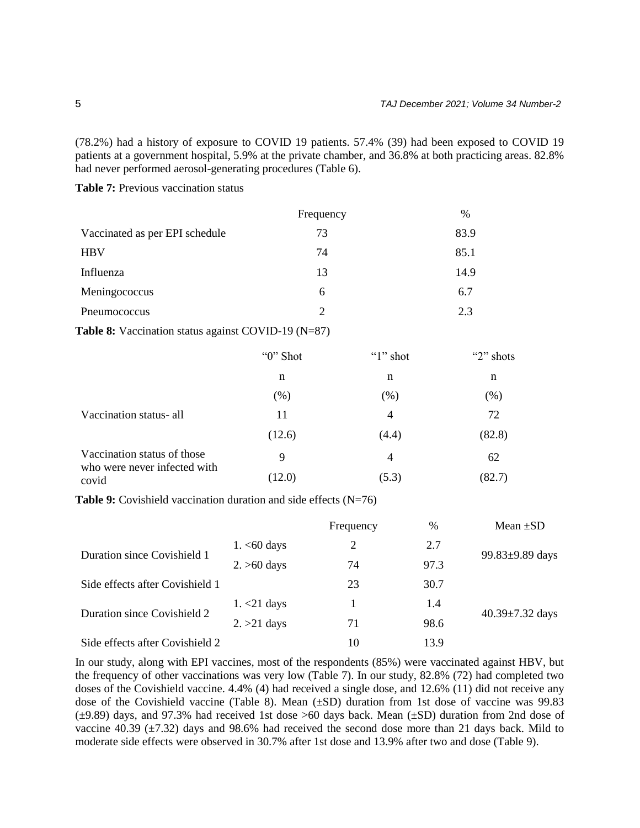(78.2%) had a history of exposure to COVID 19 patients. 57.4% (39) had been exposed to COVID 19 patients at a government hospital, 5.9% at the private chamber, and 36.8% at both practicing areas. 82.8% had never performed aerosol-generating procedures (Table 6).

Table 7: Previous vaccination status

|                                | Frequency                   | $\%$ |
|--------------------------------|-----------------------------|------|
| Vaccinated as per EPI schedule | 73                          | 83.9 |
| <b>HBV</b>                     | 74                          | 85.1 |
| Influenza                      | 13                          | 14.9 |
| Meningococcus                  | 6                           | 6.7  |
| Pneumococcus                   | $\mathcal{D}_{\mathcal{L}}$ | 2.3  |

**Table 8:** Vaccination status against COVID-19 (N=87)

|                                       | "0" Shot | "1" shot | "2" shots |
|---------------------------------------|----------|----------|-----------|
|                                       | n        | n        | n         |
|                                       | (% )     | (% )     | (%)       |
| Vaccination status- all               | 11       | 4        | 72        |
|                                       | (12.6)   | (4.4)    | (82.8)    |
| Vaccination status of those           | 9        | 4        | 62        |
| who were never infected with<br>covid | (12.0)   | (5.3)    | (82.7)    |

**Table 9:** Covishield vaccination duration and side effects (N=76)

|                                 |                        | Frequency      | %    | Mean $\pm SD$         |
|---------------------------------|------------------------|----------------|------|-----------------------|
|                                 | $1. < 60 \text{ days}$ | $\overline{2}$ | 2.7  |                       |
| Duration since Covishield 1     | $2. > 60$ days         | 74             | 97.3 | 99.83±9.89 days       |
| Side effects after Covishield 1 |                        | 23             | 30.7 |                       |
|                                 | $1. < 21$ days         |                | 1.4  |                       |
| Duration since Covishield 2     | $2. > 21$ days         | 71             | 98.6 | $40.39 \pm 7.32$ days |
| Side effects after Covishield 2 |                        | 10             | 13.9 |                       |

In our study, along with EPI vaccines, most of the respondents (85%) were vaccinated against HBV, but the frequency of other vaccinations was very low (Table 7). In our study, 82.8% (72) had completed two doses of the Covishield vaccine. 4.4% (4) had received a single dose, and 12.6% (11) did not receive any dose of the Covishield vaccine (Table 8). Mean (±SD) duration from 1st dose of vaccine was 99.83 (±9.89) days, and 97.3% had received 1st dose >60 days back. Mean (±SD) duration from 2nd dose of vaccine 40.39  $(\pm 7.32)$  days and 98.6% had received the second dose more than 21 days back. Mild to moderate side effects were observed in 30.7% after 1st dose and 13.9% after two and dose (Table 9).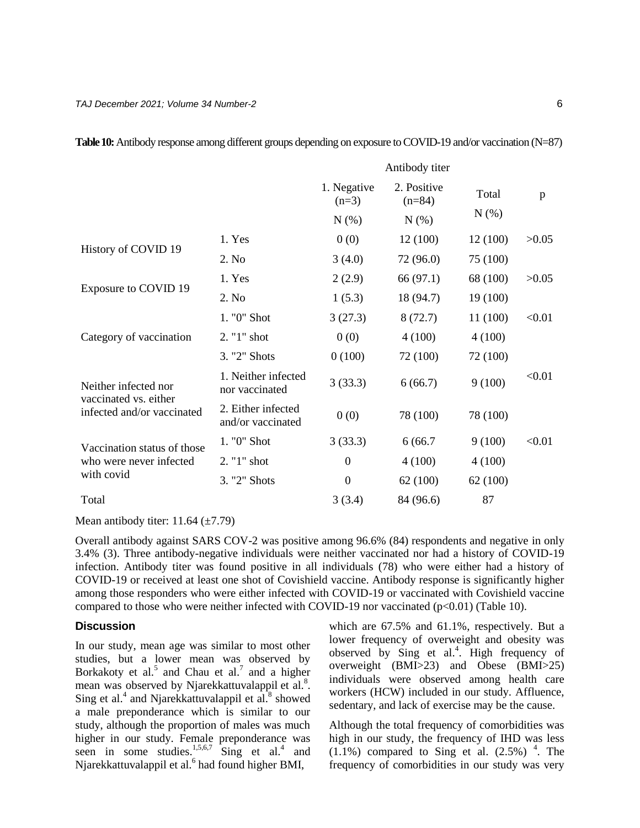|                                               |                                         |                        | Antibody titer          |          |        |
|-----------------------------------------------|-----------------------------------------|------------------------|-------------------------|----------|--------|
|                                               |                                         | 1. Negative<br>$(n=3)$ | 2. Positive<br>$(n=84)$ | Total    | p      |
|                                               |                                         | N(% )                  | $N(\%)$                 | $N(\%)$  |        |
|                                               | 1. Yes                                  | 0(0)                   | 12(100)                 | 12(100)  | >0.05  |
| History of COVID 19                           | 2. No                                   | 3(4.0)                 | 72 (96.0)               | 75 (100) |        |
|                                               | 1. Yes                                  | 2(2.9)                 | 66 (97.1)               | 68 (100) | >0.05  |
| Exposure to COVID 19                          | 2. No                                   | 1(5.3)                 | 18 (94.7)               | 19 (100) |        |
|                                               | 1. "0" Shot                             | 3(27.3)                | 8(72.7)                 | 11 (100) | < 0.01 |
| Category of vaccination                       | 2. "1" shot                             | 0(0)                   | 4(100)                  | 4(100)   |        |
|                                               | 3. "2" Shots                            | 0(100)                 | 72 (100)                | 72 (100) |        |
| Neither infected nor<br>vaccinated vs. either | 1. Neither infected<br>nor vaccinated   | 3(33.3)                | 6(66.7)                 | 9(100)   | < 0.01 |
| infected and/or vaccinated                    | 2. Either infected<br>and/or vaccinated | 0(0)                   | 78 (100)                | 78 (100) |        |
| Vaccination status of those                   | 1. "0" Shot                             | 3(33.3)                | 6(66.7)                 | 9(100)   | < 0.01 |
| who were never infected                       | 2. "1" shot                             | $\mathbf{0}$           | 4(100)                  | 4(100)   |        |
| with covid                                    | 3. "2" Shots                            | $\mathbf{0}$           | 62(100)                 | 62(100)  |        |
| Total                                         |                                         | 3(3.4)                 | 84 (96.6)               | 87       |        |

**Table 10:** Antibody response among different groups depending on exposure to COVID-19 and/or vaccination (N=87)

Mean antibody titer:  $11.64 \ (\pm 7.79)$ 

Overall antibody against SARS COV-2 was positive among 96.6% (84) respondents and negative in only 3.4% (3). Three antibody-negative individuals were neither vaccinated nor had a history of COVID-19 infection. Antibody titer was found positive in all individuals (78) who were either had a history of COVID-19 or received at least one shot of Covishield vaccine. Antibody response is significantly higher among those responders who were either infected with COVID-19 or vaccinated with Covishield vaccine compared to those who were neither infected with COVID-19 nor vaccinated  $(p<0.01)$  (Table 10).

### **Discussion**

In our study, mean age was similar to most other studies, but a lower mean was observed by Borkakoty et al.<sup>5</sup> and Chau et al.<sup>7</sup> and a higher mean was observed by Njarekkattuvalappil et al.<sup>8</sup>. Sing et al.<sup>4</sup> and Njarekkattuvalappil et  $a\hat{l}$ .<sup>8</sup> showed a male preponderance which is similar to our study, although the proportion of males was much higher in our study. Female preponderance was seen in some studies.<sup>1,5,6,7</sup> Sing et al.<sup>4</sup> and Njarekkattuvalappil et al.<sup>6</sup> had found higher BMI,

which are 67.5% and 61.1%, respectively. But a lower frequency of overweight and obesity was observed by Sing et al.<sup>4</sup>. High frequency of overweight (BMI>23) and Obese (BMI>25) individuals were observed among health care workers (HCW) included in our study. Affluence, sedentary, and lack of exercise may be the cause.

Although the total frequency of comorbidities was high in our study, the frequency of IHD was less  $(1.1\%)$  compared to Sing et al.  $(2.5\%)$ <sup>4</sup>. The frequency of comorbidities in our study was very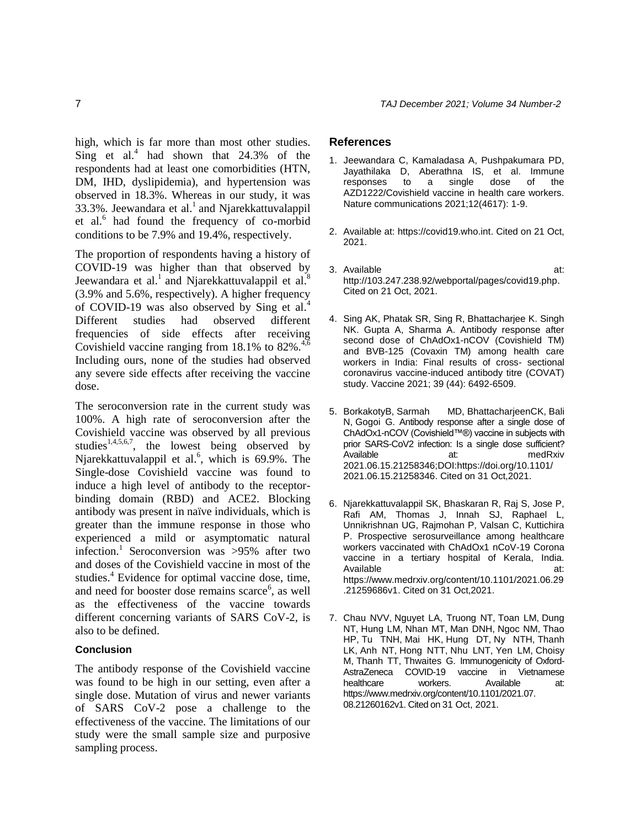high, which is far more than most other studies. Sing et al.<sup>4</sup> had shown that  $24.3\%$  of the respondents had at least one comorbidities (HTN, DM, IHD, dyslipidemia), and hypertension was observed in 18.3%. Whereas in our study, it was 33.3%. Jeewandara et al.<sup>1</sup> and Njarekkattuvalappil et al.<sup>6</sup> had found the frequency of co-morbid conditions to be 7.9% and 19.4%, respectively.

The proportion of respondents having a history of COVID-19 was higher than that observed by Jeewandara et al.<sup>1</sup> and Njarekkattuvalappil et al.<sup>8</sup> (3.9% and 5.6%, respectively). A higher frequency of COVID-19 was also observed by Sing et al.<sup>4</sup> Different studies had observed different frequencies of side effects after receiving Covishield vaccine ranging from  $18.1\%$  to  $82\%$ .<sup>4,6</sup> Including ours, none of the studies had observed any severe side effects after receiving the vaccine dose.

The seroconversion rate in the current study was 100%. A high rate of seroconversion after the Covishield vaccine was observed by all previous studies<sup>1,4,5,6,7</sup>, the lowest being observed by Njarekkattuvalappil et al.<sup>6</sup>, which is 69.9%. The Single-dose Covishield vaccine was found to induce a high level of antibody to the receptorbinding domain (RBD) and ACE2. Blocking antibody was present in naïve individuals, which is greater than the immune response in those who experienced a mild or asymptomatic natural infection.<sup>1</sup> Seroconversion was >95% after two and doses of the Covishield vaccine in most of the studies.<sup>4</sup> Evidence for optimal vaccine dose, time, and need for booster dose remains scarce<sup>6</sup>, as well as the effectiveness of the vaccine towards different concerning variants of SARS CoV-2, is also to be defined.

#### **Conclusion**

The antibody response of the Covishield vaccine was found to be high in our setting, even after a single dose. Mutation of virus and newer variants of SARS CoV-2 pose a challenge to the effectiveness of the vaccine. The limitations of our study were the small sample size and purposive sampling process.

#### **References**

- 1. Jeewandara C, Kamaladasa A, Pushpakumara PD, Jayathilaka D, Aberathna IS, et al. Immune responses to a single dose of the AZD1222/Covishield vaccine in health care workers. Nature communications 2021;12(4617): 1-9.
- 2. Available at: [https://covid19.who.int.](https://covid19.who.int/) Cited on 21 Oct, 2021.
- 3. Available at: at: [http://103.247.238.92/webportal/pages/covid19.php.](http://103.247.238.92/webportal/pages/covid19.php) Cited on 21 Oct, 2021.
- 4. Sing AK, Phatak SR, Sing R, Bhattacharjee K. Singh NK. Gupta A, Sharma A. Antibody response after second dose of ChAdOx1-nCOV (Covishield TM) and BVB-125 (Covaxin TM) among health care workers in India: Final results of cross- sectional coronavirus vaccine-induced antibody titre (COVAT) study. Vaccine 2021; 39 (44): 6492-6509.
- 5. BorkakotyB, Sarmah MD, BhattacharjeenCK, Bali N, Gogoi G. Antibody response after a single dose of ChAdOx1-nCOV (Covishield™®) vaccine in subjects with prior SARS-CoV2 infection: Is a single dose sufficient? Available at: medRxiv 2021.06.15.21258346;DOI[:https://doi.org/10.1101/](https://doi.org/10.1101/%202021.06.15.21258346) [2021.06.15.21258346.](https://doi.org/10.1101/%202021.06.15.21258346) Cited on 31 Oct,2021.
- 6. Njarekkattuvalappil SK, Bhaskaran R, Raj S, Jose P, Rafi AM, Thomas J, Innah SJ, Raphael L, Unnikrishnan UG, Rajmohan P, Valsan C, Kuttichira P. Prospective serosurveillance among healthcare workers vaccinated with ChAdOx1 nCoV-19 Corona vaccine in a tertiary hospital of Kerala, India. Available at: [https://www.medrxiv.org/content/10.1101/2021.06.29](https://www.medrxiv.org/content/10.1101/2021.06.29.21259686v1) [.21259686v1.](https://www.medrxiv.org/content/10.1101/2021.06.29.21259686v1) Cited on 31 Oct,2021.
- 7. Chau NVV, Nguyet LA, Truong NT, Toan LM, Dung NT, Hung LM, Nhan MT, Man DNH, Ngoc NM, Thao HP, Tu TNH, Mai HK, Hung DT, Ny NTH, Thanh LK, Anh NT, Hong NTT, Nhu LNT, Yen LM, Choisy M, Thanh TT, Thwaites G. Immunogenicity of Oxford-AstraZeneca COVID-19 vaccine in Vietnamese healthcare workers. Available at: [https://www.medrxiv.org/content/10.1101/2021.07.](https://www.medrxiv.org/content/10.1101/2021.07.%2008.21260162v1)  [08.21260162v1.](https://www.medrxiv.org/content/10.1101/2021.07.%2008.21260162v1) Cited on 31 Oct, 2021.